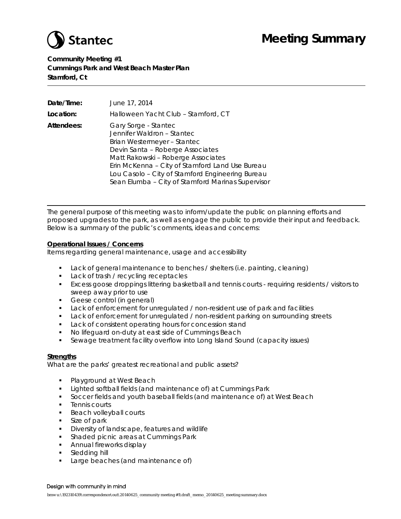

## **Meeting Summary**

**Community Meeting #1 Cummings Park and West Beach Master Plan Stamford, Ct**

| Date/Time: | June 17, 2014                                                                                                                                                                                                                                                                                                           |
|------------|-------------------------------------------------------------------------------------------------------------------------------------------------------------------------------------------------------------------------------------------------------------------------------------------------------------------------|
| Location:  | Halloween Yacht Club - Stamford, CT                                                                                                                                                                                                                                                                                     |
| Attendees: | Gary Sorge - Stantec<br>Jennifer Waldron - Stantec<br>Brian Westermeyer - Stantec<br>Devin Santa - Roberge Associates<br>Matt Rakowski - Roberge Associates<br>Erin McKenna - City of Stamford Land Use Bureau<br>Lou Casolo - City of Stamford Engineering Bureau<br>Sean Elumba - City of Stamford Marinas Supervisor |

The general purpose of this meeting was to inform/update the public on planning efforts and proposed upgrades to the park, as well as engage the public to provide their input and feedback. Below is a summary of the public's comments, ideas and concerns:

#### **Operational Issues / Concerns**

Items regarding general maintenance, usage and accessibility

- Lack of general maintenance to benches / shelters (i.e. painting, cleaning)
- **Lack of trash / recycling receptacles**
- Excess goose droppings littering basketball and tennis courts requiring residents / visitors to sweep away prior to use
- **Geese control (in general)**
- Lack of enforcement for unregulated / non-resident use of park and facilities
- **Lack of enforcement for unregulated / non-resident parking on surrounding streets**
- **Lack of consistent operating hours for concession stand**
- No lifeguard on-duty at east side of Cummings Beach
- Sewage treatment facility overflow into Long Island Sound (capacity issues)

#### **Strengths**

What are the parks' greatest recreational and public assets?

- Playground at West Beach
- **Example 3** Lighted softball fields (and maintenance of) at Cummings Park
- Soccer fields and youth baseball fields (and maintenance of) at West Beach
- **-** Tennis courts
- **Beach volleyball courts**
- **Size of park**
- **Diversity of landscape, features and wildlife**
- **Shaded picnic areas at Cummings Park**
- **Annual fireworks display**
- **Sledding hill**
- **Large beaches (and maintenance of)**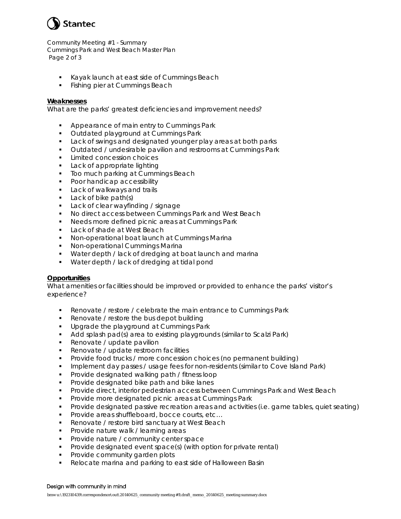

Community Meeting #1 - Summary Cummings Park and West Beach Master Plan Page 2 of 3

- Kayak launch at east side of Cummings Beach
- **Fishing pier at Cummings Beach**

#### **Weaknesses**

What are the parks' greatest deficiencies and improvement needs?

- **Appearance of main entry to Cummings Park**
- **Dutdated playground at Cummings Park**
- Lack of swings and designated younger play areas at both parks
- **URIOUT 2018 Universely Contains 1** Outdated / undesirable pavilion and restrooms at Cummings Park
- **Limited concession choices**
- **Lack of appropriate lighting**
- **Too much parking at Cummings Beach**
- **Poor handicap accessibility**
- **Lack of walkways and trails**
- Lack of bike path(s)
- **Lack of clear wayfinding / signage**
- **No direct access between Cummings Park and West Beach**
- **Needs more defined picnic areas at Cummings Park**
- **Lack of shade at West Beach**
- **Non-operational boat launch at Cummings Marina**
- Non-operational Cummings Marina
- **Water depth / lack of dredging at boat launch and marina**
- **Water depth / lack of dredging at tidal pond**

#### **Opportunities**

What amenities or facilities should be improved or provided to enhance the parks' visitor's experience?

- **Renovate / restore / celebrate the main entrance to Cummings Park**
- Renovate / restore the bus depot building
- **Upgrade the playground at Cummings Park**
- Add splash pad(s) area to existing playgrounds (similar to Scalzi Park)
- **Renovate / update pavilion**
- Renovate / update restroom facilities
- Provide food trucks / more concession choices (no permanent building)
- **IMPLEMENT MAY ASSES A** usage fees for non-residents (similar to Cove Island Park)
- **Provide designated walking path / fitness loop**
- **Provide designated bike path and bike lanes**
- **Provide direct, interior pedestrian access between Cummings Park and West Beach**
- **Provide more designated picnic areas at Cummings Park**
- Provide designated passive recreation areas and activities (i.e. game tables, quiet seating)
- Provide areas shuffleboard, bocce courts, etc...
- **Renovate / restore bird sanctuary at West Beach**
- **Provide nature walk / learning areas**
- **Provide nature / community center space**
- **Provide designated event space(s) (with option for private rental)**
- **Provide community garden plots**
- Relocate marina and parking to east side of Halloween Basin